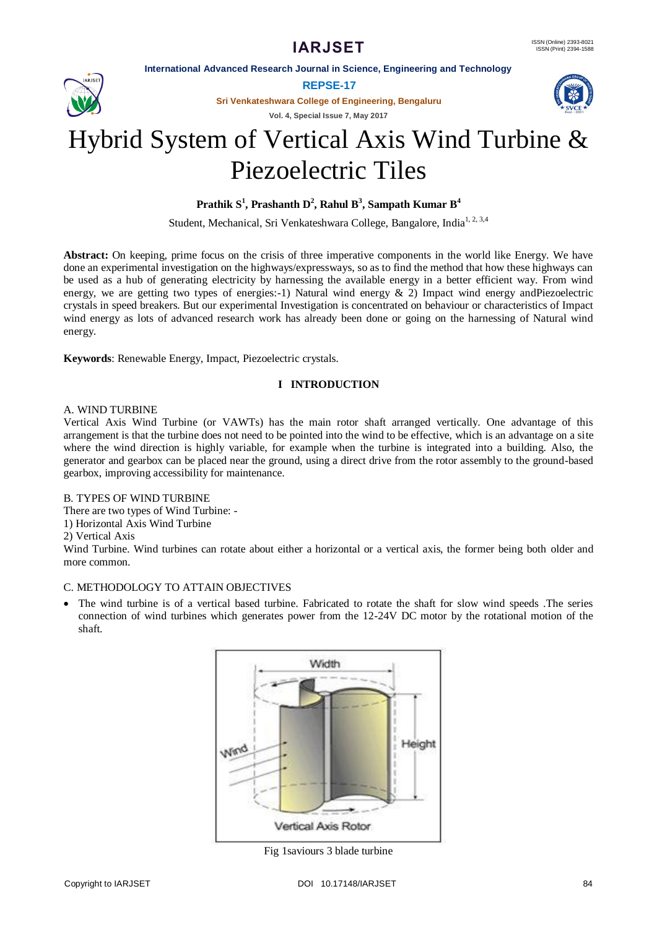# **IARJSET**

**International Advanced Research Journal in Science, Engineering and Technology**



**Sri Venkateshwara College of Engineering, Bengaluru**

**Vol. 4, Special Issue 7, May 2017**



# Hybrid System of Vertical Axis Wind Turbine & Piezoelectric Tiles

# **Prathik S 1 , Prashanth D 2 , Rahul B 3 , Sampath Kumar B<sup>4</sup>**

Student, Mechanical, Sri Venkateshwara College, Bangalore, India<sup>1, 2, 3,4</sup>

**Abstract:** On keeping, prime focus on the crisis of three imperative components in the world like Energy. We have done an experimental investigation on the highways/expressways, so as to find the method that how these highways can be used as a hub of generating electricity by harnessing the available energy in a better efficient way. From wind energy, we are getting two types of energies:-1) Natural wind energy & 2) Impact wind energy andPiezoelectric crystals in speed breakers. But our experimental Investigation is concentrated on behaviour or characteristics of Impact wind energy as lots of advanced research work has already been done or going on the harnessing of Natural wind energy.

**Keywords**: Renewable Energy, Impact, Piezoelectric crystals.

# **I INTRODUCTION**

## A. WIND TURBINE

Vertical Axis Wind Turbine (or VAWTs) has the main rotor shaft arranged vertically. One advantage of this arrangement is that the turbine does not need to be pointed into the wind to be effective, which is an advantage on a site where the wind direction is highly variable, for example when the turbine is integrated into a building. Also, the generator and gearbox can be placed near the ground, using a direct drive from the rotor assembly to the ground-based gearbox, improving accessibility for maintenance.

# B. TYPES OF WIND TURBINE

There are two types of Wind Turbine: -

- 1) Horizontal Axis Wind Turbine
- 2) Vertical Axis

Wind Turbine. Wind turbines can rotate about either a horizontal or a vertical axis, the former being both older and more common.

# C. METHODOLOGY TO ATTAIN OBJECTIVES

 The wind turbine is of a vertical based turbine. Fabricated to rotate the shaft for slow wind speeds .The series connection of wind turbines which generates power from the 12-24V DC motor by the rotational motion of the shaft.



Fig 1saviours 3 blade turbine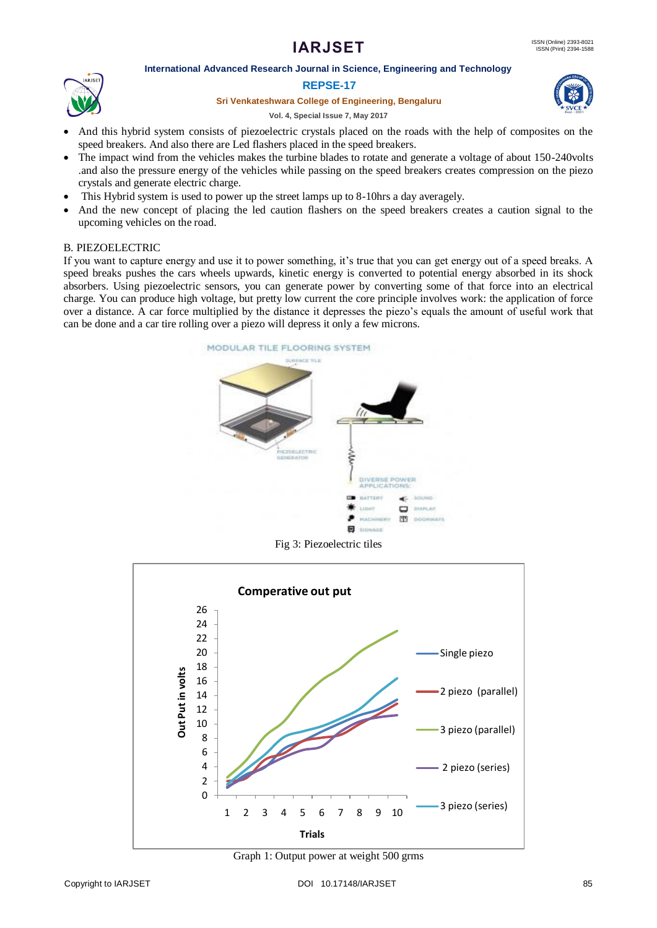# **IARJSET**

## **International Advanced Research Journal in Science, Engineering and Technology**



#### **Sri Venkateshwara College of Engineering, Bengaluru**



#### **Vol. 4, Special Issue 7, May 2017**

- And this hybrid system consists of piezoelectric crystals placed on the roads with the help of composites on the speed breakers. And also there are Led flashers placed in the speed breakers.
- The impact wind from the vehicles makes the turbine blades to rotate and generate a voltage of about 150-240volts .and also the pressure energy of the vehicles while passing on the speed breakers creates compression on the piezo crystals and generate electric charge.
- This Hybrid system is used to power up the street lamps up to 8-10hrs a day averagely.
- And the new concept of placing the led caution flashers on the speed breakers creates a caution signal to the upcoming vehicles on the road.

## B. PIEZOELECTRIC

If you want to capture energy and use it to power something, it's true that you can get energy out of a speed breaks. A speed breaks pushes the cars wheels upwards, kinetic energy is converted to potential energy absorbed in its shock absorbers. Using piezoelectric sensors, you can generate power by converting some of that force into an electrical charge. You can produce high voltage, but pretty low current the core principle involves work: the application of force over a distance. A car force multiplied by the distance it depresses the piezo's equals the amount of useful work that can be done and a car tire rolling over a piezo will depress it only a few microns.



Fig 3: Piezoelectric tiles



Graph 1: Output power at weight 500 grms